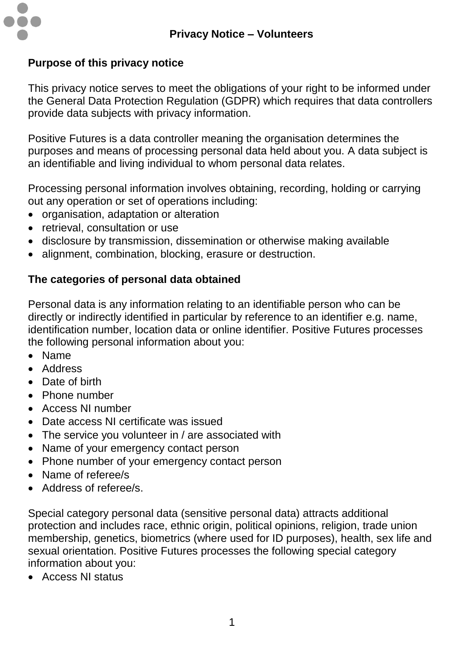

## **Purpose of this privacy notice**

This privacy notice serves to meet the obligations of your right to be informed under the General Data Protection Regulation (GDPR) which requires that data controllers provide data subjects with privacy information.

Positive Futures is a data controller meaning the organisation determines the purposes and means of processing personal data held about you. A data subject is an identifiable and living individual to whom personal data relates.

Processing personal information involves obtaining, recording, holding or carrying out any operation or set of operations including:

- organisation, adaptation or alteration
- retrieval, consultation or use
- disclosure by transmission, dissemination or otherwise making available
- alignment, combination, blocking, erasure or destruction.

## **The categories of personal data obtained**

Personal data is any information relating to an identifiable person who can be directly or indirectly identified in particular by reference to an identifier e.g. name, identification number, location data or online identifier. Positive Futures processes the following personal information about you:

- Name
- Address
- Date of birth
- Phone number
- Access NI number
- Date access NI certificate was issued
- The service you volunteer in / are associated with
- Name of your emergency contact person
- Phone number of your emergency contact person
- Name of referee/s
- Address of referee/s.

Special category personal data (sensitive personal data) attracts additional protection and includes race, ethnic origin, political opinions, religion, trade union membership, genetics, biometrics (where used for ID purposes), health, sex life and sexual orientation. Positive Futures processes the following special category information about you:

Access NI status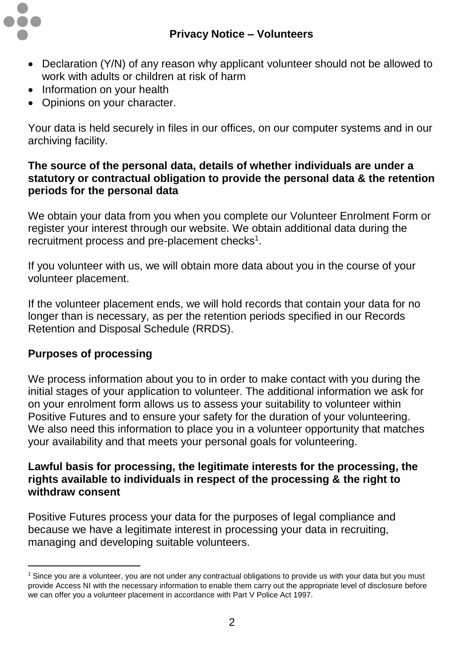

- Declaration (Y/N) of any reason why applicant volunteer should not be allowed to work with adults or children at risk of harm
- Information on your health
- Opinions on your character.

Your data is held securely in files in our offices, on our computer systems and in our archiving facility.

### **The source of the personal data, details of whether individuals are under a statutory or contractual obligation to provide the personal data & the retention periods for the personal data**

We obtain your data from you when you complete our Volunteer Enrolment Form or register your interest through our website. We obtain additional data during the recruitment process and pre-placement checks<sup>1</sup>.

If you volunteer with us, we will obtain more data about you in the course of your volunteer placement.

If the volunteer placement ends, we will hold records that contain your data for no longer than is necessary, as per the retention periods specified in our Records Retention and Disposal Schedule (RRDS).

# **Purposes of processing**

 $\overline{a}$ 

We process information about you to in order to make contact with you during the initial stages of your application to volunteer. The additional information we ask for on your enrolment form allows us to assess your suitability to volunteer within Positive Futures and to ensure your safety for the duration of your volunteering. We also need this information to place you in a volunteer opportunity that matches your availability and that meets your personal goals for volunteering.

### **Lawful basis for processing, the legitimate interests for the processing, the rights available to individuals in respect of the processing & the right to withdraw consent**

Positive Futures process your data for the purposes of legal compliance and because we have a legitimate interest in processing your data in recruiting, managing and developing suitable volunteers.

<sup>&</sup>lt;sup>1</sup> Since you are a volunteer, you are not under any contractual obligations to provide us with your data but you must provide Access NI with the necessary information to enable them carry out the appropriate level of disclosure before we can offer you a volunteer placement in accordance with Part V Police Act 1997.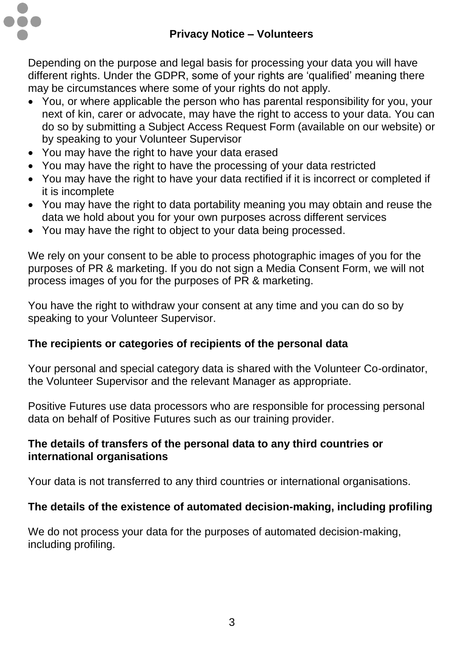

Depending on the purpose and legal basis for processing your data you will have different rights. Under the GDPR, some of your rights are 'qualified' meaning there may be circumstances where some of your rights do not apply.

- You, or where applicable the person who has parental responsibility for you, your next of kin, carer or advocate, may have the right to access to your data. You can do so by submitting a Subject Access Request Form (available on our website) or by speaking to your Volunteer Supervisor
- You may have the right to have your data erased
- You may have the right to have the processing of your data restricted
- You may have the right to have your data rectified if it is incorrect or completed if it is incomplete
- You may have the right to data portability meaning you may obtain and reuse the data we hold about you for your own purposes across different services
- You may have the right to object to your data being processed.

We rely on your consent to be able to process photographic images of you for the purposes of PR & marketing. If you do not sign a Media Consent Form, we will not process images of you for the purposes of PR & marketing.

You have the right to withdraw your consent at any time and you can do so by speaking to your Volunteer Supervisor.

# **The recipients or categories of recipients of the personal data**

Your personal and special category data is shared with the Volunteer Co-ordinator, the Volunteer Supervisor and the relevant Manager as appropriate.

Positive Futures use data processors who are responsible for processing personal data on behalf of Positive Futures such as our training provider.

# **The details of transfers of the personal data to any third countries or international organisations**

Your data is not transferred to any third countries or international organisations.

# **The details of the existence of automated decision-making, including profiling**

We do not process your data for the purposes of automated decision-making, including profiling.